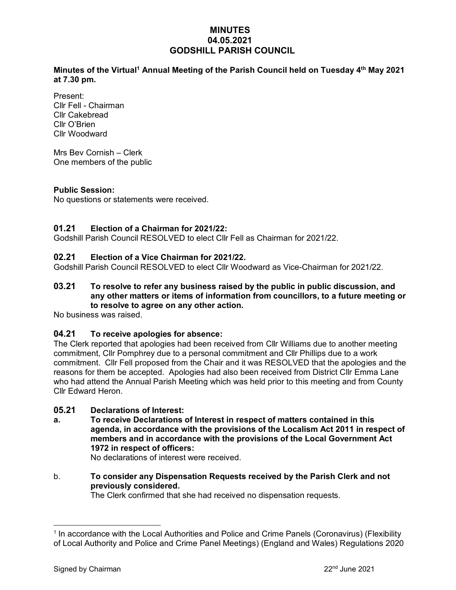## **MINUTES 04.05.2021 GODSHILL PARISH COUNCIL**

**Minutes of the Virtual<sup>1</sup> Annual Meeting of the Parish Council held on Tuesday 4 th May 2021 at 7.30 pm.** 

Present: Cllr Fell - Chairman Cllr Cakebread Cllr O'Brien Cllr Woodward

Mrs Bev Cornish – Clerk One members of the public

#### **Public Session:**

No questions or statements were received.

### **01.21 Election of a Chairman for 2021/22:**

Godshill Parish Council RESOLVED to elect Cllr Fell as Chairman for 2021/22.

### **02.21 Election of a Vice Chairman for 2021/22.**

Godshill Parish Council RESOLVED to elect Cllr Woodward as Vice-Chairman for 2021/22.

#### **03.21 To resolve to refer any business raised by the public in public discussion, and any other matters or items of information from councillors, to a future meeting or to resolve to agree on any other action.**

No business was raised.

### **04.21 To receive apologies for absence:**

The Clerk reported that apologies had been received from Cllr Williams due to another meeting commitment, Cllr Pomphrey due to a personal commitment and Cllr Phillips due to a work commitment. Cllr Fell proposed from the Chair and it was RESOLVED that the apologies and the reasons for them be accepted. Apologies had also been received from District Cllr Emma Lane who had attend the Annual Parish Meeting which was held prior to this meeting and from County Cllr Edward Heron.

### **05.21 Declarations of Interest:**

**a. To receive Declarations of Interest in respect of matters contained in this agenda, in accordance with the provisions of the Localism Act 2011 in respect of members and in accordance with the provisions of the Local Government Act 1972 in respect of officers:**

No declarations of interest were received.

### b. **To consider any Dispensation Requests received by the Parish Clerk and not previously considered.**

The Clerk confirmed that she had received no dispensation requests.

<sup>&</sup>lt;sup>1</sup> In accordance with the Local Authorities and Police and Crime Panels (Coronavirus) (Flexibility of Local Authority and Police and Crime Panel Meetings) (England and Wales) Regulations 2020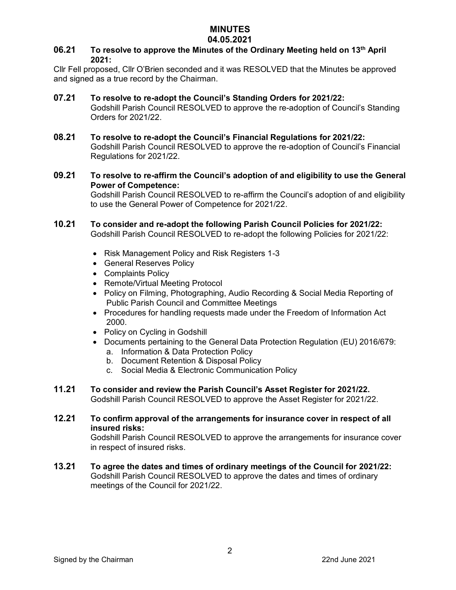# **MINUTES**

### **04.05.2021**

### **06.21 To resolve to approve the Minutes of the Ordinary Meeting held on 13th April 2021:**

Cllr Fell proposed, Cllr O'Brien seconded and it was RESOLVED that the Minutes be approved and signed as a true record by the Chairman.

### **07.21 To resolve to re-adopt the Council's Standing Orders for 2021/22:**

Godshill Parish Council RESOLVED to approve the re-adoption of Council's Standing Orders for 2021/22.

- **08.21 To resolve to re-adopt the Council's Financial Regulations for 2021/22:** Godshill Parish Council RESOLVED to approve the re-adoption of Council's Financial Regulations for 2021/22.
- **09.21 To resolve to re-affirm the Council's adoption of and eligibility to use the General Power of Competence:**

Godshill Parish Council RESOLVED to re-affirm the Council's adoption of and eligibility to use the General Power of Competence for 2021/22.

### **10.21 To consider and re-adopt the following Parish Council Policies for 2021/22:**

Godshill Parish Council RESOLVED to re-adopt the following Policies for 2021/22:

- Risk Management Policy and Risk Registers 1-3
- General Reserves Policy
- Complaints Policy
- Remote/Virtual Meeting Protocol
- Policy on Filming, Photographing, Audio Recording & Social Media Reporting of Public Parish Council and Committee Meetings
- Procedures for handling requests made under the Freedom of Information Act 2000.
- Policy on Cycling in Godshill
- Documents pertaining to the General Data Protection Regulation (EU) 2016/679:
	- a. Information & Data Protection Policy b. Document Retention & Disposal Policy
	- c. Social Media & Electronic Communication Policy
- **11.21 To consider and review the Parish Council's Asset Register for 2021/22.** Godshill Parish Council RESOLVED to approve the Asset Register for 2021/22.
- **12.21 To confirm approval of the arrangements for insurance cover in respect of all insured risks:**

Godshill Parish Council RESOLVED to approve the arrangements for insurance cover in respect of insured risks.

**13.21 To agree the dates and times of ordinary meetings of the Council for 2021/22:** Godshill Parish Council RESOLVED to approve the dates and times of ordinary meetings of the Council for 2021/22.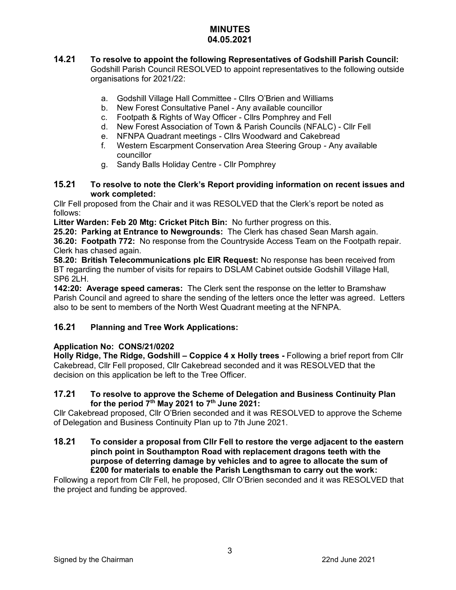### **MINUTES 04.05.2021**

- **14.21 To resolve to appoint the following Representatives of Godshill Parish Council:**  Godshill Parish Council RESOLVED to appoint representatives to the following outside organisations for 2021/22:
	- a. Godshill Village Hall Committee Cllrs O'Brien and Williams
	- b. New Forest Consultative Panel Any available councillor
	- c. Footpath & Rights of Way Officer Cllrs Pomphrey and Fell
	- d. New Forest Association of Town & Parish Councils (NFALC) Cllr Fell
	- e. NFNPA Quadrant meetings Cllrs Woodward and Cakebread
	- f. Western Escarpment Conservation Area Steering Group Any available councillor
	- g. Sandy Balls Holiday Centre Cllr Pomphrey

#### **15.21 To resolve to note the Clerk's Report providing information on recent issues and work completed:**

Cllr Fell proposed from the Chair and it was RESOLVED that the Clerk's report be noted as follows:

**Litter Warden: Feb 20 Mtg: Cricket Pitch Bin:** No further progress on this.

**25.20: Parking at Entrance to Newgrounds:** The Clerk has chased Sean Marsh again.

**36.20: Footpath 772:** No response from the Countryside Access Team on the Footpath repair. Clerk has chased again.

**58.20: British Telecommunications plc EIR Request:** No response has been received from BT regarding the number of visits for repairs to DSLAM Cabinet outside Godshill Village Hall, SP6 2LH.

**142:20: Average speed cameras:** The Clerk sent the response on the letter to Bramshaw Parish Council and agreed to share the sending of the letters once the letter was agreed. Letters also to be sent to members of the North West Quadrant meeting at the NFNPA.

## **16.21 Planning and Tree Work Applications:**

## **Application No: CONS/21/0202**

**Holly Ridge, The Ridge, Godshill – Coppice 4 x Holly trees -** Following a brief report from Cllr Cakebread, Cllr Fell proposed, Cllr Cakebread seconded and it was RESOLVED that the decision on this application be left to the Tree Officer.

### **17.21 To resolve to approve the Scheme of Delegation and Business Continuity Plan for the period 7th May 2021 to 7th June 2021:**

Cllr Cakebread proposed, Cllr O'Brien seconded and it was RESOLVED to approve the Scheme of Delegation and Business Continuity Plan up to 7th June 2021.

**18.21 To consider a proposal from Cllr Fell to restore the verge adjacent to the eastern pinch point in Southampton Road with replacement dragons teeth with the purpose of deterring damage by vehicles and to agree to allocate the sum of £200 for materials to enable the Parish Lengthsman to carry out the work:**

Following a report from Cllr Fell, he proposed, Cllr O'Brien seconded and it was RESOLVED that the project and funding be approved.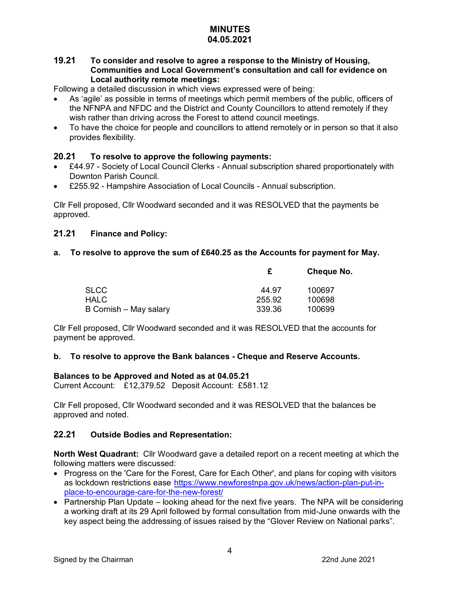#### **MINUTES 04.05.2021**

### **19.21 To consider and resolve to agree a response to the Ministry of Housing, Communities and Local Government's consultation and call for evidence on Local authority remote meetings:**

Following a detailed discussion in which views expressed were of being:

- As 'agile' as possible in terms of meetings which permit members of the public, officers of the NFNPA and NFDC and the District and County Councillors to attend remotely if they wish rather than driving across the Forest to attend council meetings.
- To have the choice for people and councillors to attend remotely or in person so that it also provides flexibility.

### **20.21 To resolve to approve the following payments:**

- £44.97 Society of Local Council Clerks Annual subscription shared proportionately with Downton Parish Council.
- £255.92 Hampshire Association of Local Councils Annual subscription.

Cllr Fell proposed, Cllr Woodward seconded and it was RESOLVED that the payments be approved.

### **21.21 Finance and Policy:**

### **a. To resolve to approve the sum of £640.25 as the Accounts for payment for May.**

|                        |        | <b>Cheque No.</b> |
|------------------------|--------|-------------------|
| <b>SLCC</b>            | 44.97  | 100697            |
| <b>HALC</b>            | 255.92 | 100698            |
| B Cornish – May salary | 339.36 | 100699            |

Cllr Fell proposed, Cllr Woodward seconded and it was RESOLVED that the accounts for payment be approved.

### **b. To resolve to approve the Bank balances - Cheque and Reserve Accounts.**

#### **Balances to be Approved and Noted as at 04.05.21**

Current Account: £12,379.52 Deposit Account: £581.12

Cllr Fell proposed, Cllr Woodward seconded and it was RESOLVED that the balances be approved and noted.

### **22.21 Outside Bodies and Representation:**

**North West Quadrant:** Cllr Woodward gave a detailed report on a recent meeting at which the following matters were discussed:

- Progress on the 'Care for the Forest, Care for Each Other', and plans for coping with visitors as lockdown restrictions ease [https://www.newforestnpa.gov.uk/news/action-plan-put-in](https://www.newforestnpa.gov.uk/news/action-plan-put-in-place-to-encourage-care-for-the-new-forest/)[place-to-encourage-care-for-the-new-forest/](https://www.newforestnpa.gov.uk/news/action-plan-put-in-place-to-encourage-care-for-the-new-forest/)
- Partnership Plan Update looking ahead for the next five years. The NPA will be considering a working draft at its 29 April followed by formal consultation from mid-June onwards with the key aspect being the addressing of issues raised by the "Glover Review on National parks".